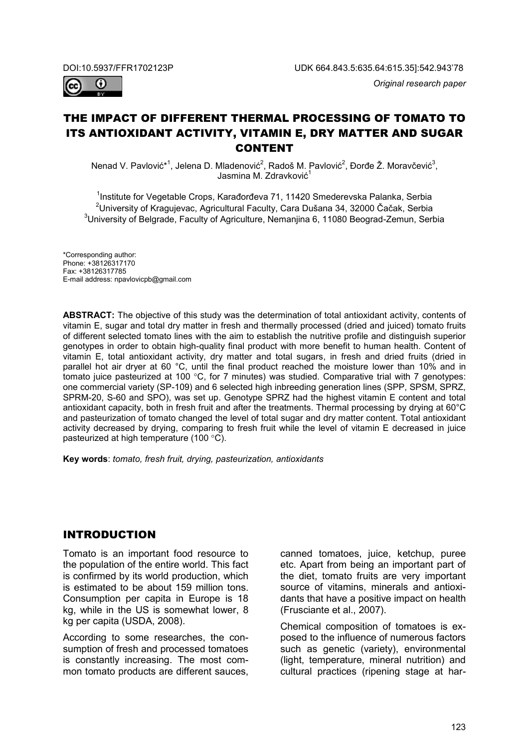

# THE IMPACT OF DIFFERENT THERMAL PROCESSING OF TOMATO TO ITS ANTIOXIDANT ACTIVITY, VITAMIN E, DRY MATTER AND SUGAR CONTENT

Nenad V. Pavlović\*<sup>1</sup>, Jelena D. Mladenović<sup>2</sup>, Radoš M. Pavlović<sup>2</sup>, Đorđe Ž. Moravčević<sup>3</sup>, Jasmina M. Zdravković<sup>1</sup>

<sup>1</sup>Institute for Vegetable Crops, Karađorđeva 71, 11420 Smederevska Palanka, Serbia  $^{\text{2}}$ University of Kragujevac, Agricultural Faculty, Cara Dušana 34, 32000 Čačak, Serbia  $^3$ University of Belgrade, Faculty of Agriculture, Nemanjina 6, 11080 Beograd-Zemun, Serbia

\*Corresponding author: Phone: +38126317170 Fax: +38126317785 E-mail address: npavlovicpb@gmail.com

**ABSTRACT:** The objective of this study was the determination of total antioxidant activity, contents of vitamin E, sugar and total dry matter in fresh and thermally processed (dried and juiced) tomato fruits of different selected tomato lines with the aim to establish the nutritive profile and distinguish superior genotypes in order to obtain high-quality final product with more benefit to human health. Content of vitamin E, total antioxidant activity, dry matter and total sugars, in fresh and dried fruits (dried in parallel hot air dryer at 60 °C, until the final product reached the moisture lower than 10% and in tomato juice pasteurized at 100 °C, for 7 minutes) was studied. Comparative trial with 7 genotypes: one commercial variety (SP-109) and 6 selected high inbreeding generation lines (SPP, SPSM, SPRZ, SPRM-20, S-60 and SPO), was set up. Genotype SPRZ had the highest vitamin E content and total antioxidant capacity, both in fresh fruit and after the treatments. Thermal processing by drying at 60°C and pasteurization of tomato changed the level of total sugar and dry matter content. Total antioxidant activity decreased by drying, comparing to fresh fruit while the level of vitamin E decreased in juice pasteurized at high temperature (100 °C).

**Key words**: *tomato, fresh fruit, drying, pasteurization, antioxidants*

### INTRODUCTION

Tomato is an important food resource to the population of the entire world. This fact is confirmed by its world production, which is estimated to be about 159 million tons. Consumption per capita in Europe is 18 kg, while in the US is somewhat lower, 8 kg per capita (USDA, 2008).

According to some researches, the consumption of fresh and processed tomatoes is constantly increasing. The most common tomato products are different sauces, canned tomatoes, juice, ketchup, puree etc. Apart from being an important part of the diet, tomato fruits are very important source of vitamins, minerals and antioxidants that have a positive impact on health (Frusciante et al., 2007).

Chemical composition of tomatoes is exposed to the influence of numerous factors such as genetic (variety), environmental (light, temperature, mineral nutrition) and cultural practices (ripening stage at har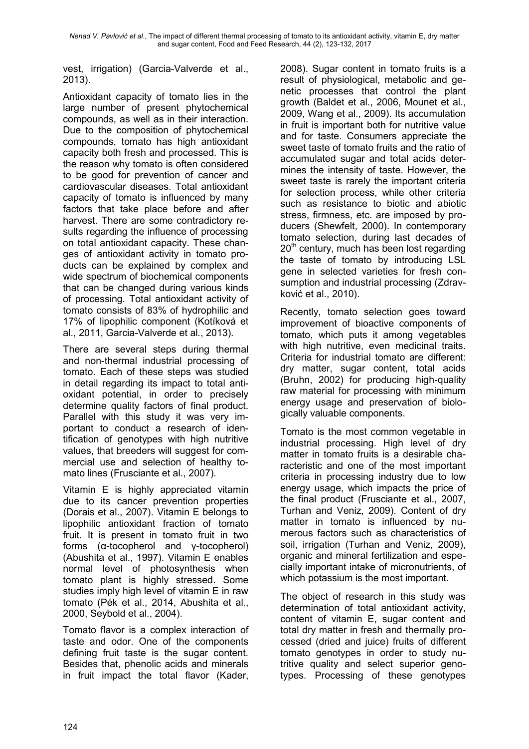vest, irrigation) (Garcia-Valverde et al., 2013).

Antioxidant capacity of tomato lies in the large number of present phytochemical compounds, as well as in their interaction. Due to the composition of phytochemical compounds, tomato has high antioxidant capacity both fresh and processed. This is the reason why tomato is often considered to be good for prevention of cancer and cardiovascular diseases. Total antioxidant capacity of tomato is influenced by many factors that take place before and after harvest. There are some contradictory results regarding the influence of processing on total antioxidant capacity. These changes of antioxidant activity in tomato products can be explained by complex and wide spectrum of biochemical components that can be changed during various kinds of processing. Total antioxidant activity of tomato consists of 83% of hydrophilic and 17% of lipophilic component (Kotíková et al., 2011, Garcia-Valverde et al*.*, 2013).

There are several steps during thermal and non-thermal industrial processing of tomato. Each of these steps was studied in detail regarding its impact to total antioxidant potential, in order to precisely determine quality factors of final product. Parallel with this study it was very important to conduct a research of identification of genotypes with high nutritive values, that breeders will suggest for commercial use and selection of healthy tomato lines (Frusciante et al., 2007).

Vitamin E is highly appreciated vitamin due to its cancer prevention properties (Dorais et al., 2007). Vitamin E belongs to lipophilic antioxidant fraction of tomato fruit. It is present in tomato fruit in two forms (α-tocopherol and γ-tocopherol) (Abushita et al., 1997). Vitamin E enables normal level of photosynthesis when tomato plant is highly stressed. Some studies imply high level of vitamin E in raw tomato (Pék et al., 2014, Abushita et al., 2000, Seybold et al., 2004).

Tomato flavor is a complex interaction of taste and odor. One of the components defining fruit taste is the sugar content. Besides that, phenolic acids and minerals in fruit impact the total flavor (Kader, 2008). Sugar content in tomato fruits is a result of physiological, metabolic and genetic processes that control the plant growth (Baldet et al., 2006, Mounet et al., 2009, Wang et al., 2009). Its accumulation in fruit is important both for nutritive value and for taste. Consumers appreciate the sweet taste of tomato fruits and the ratio of accumulated sugar and total acids determines the intensity of taste. However, the sweet taste is rarely the important criteria for selection process, while other criteria such as resistance to biotic and abiotic stress, firmness, etc. are imposed by producers (Shewfelt, 2000). In contemporary tomato selection, during last decades of  $20<sup>th</sup>$  century, much has been lost regarding the taste of tomato by introducing LSL gene in selected varieties for fresh consumption and industrial processing (Zdravković et al., 2010).

Recently, tomato selection goes toward improvement of bioactive components of tomato, which puts it among vegetables with high nutritive, even medicinal traits. Criteria for industrial tomato are different: dry matter, sugar content, total acids (Bruhn, 2002) for producing high-quality raw material for processing with minimum energy usage and preservation of biologically valuable components.

Tomato is the most common vegetable in industrial processing. High level of dry matter in tomato fruits is a desirable characteristic and one of the most important criteria in processing industry due to low energy usage, which impacts the price of the final product (Frusciante et al., 2007, Turhan and Veniz, 2009). Content of dry matter in tomato is influenced by numerous factors such as characteristics of soil, irrigation (Turhan and Veniz, 2009), organic and mineral fertilization and especially important intake of micronutrients, of which potassium is the most important.

The object of research in this study was determination of total antioxidant activity, content of vitamin E, sugar content and total dry matter in fresh and thermally processed (dried and juice) fruits of different tomato genotypes in order to study nutritive quality and select superior genotypes. Processing of these genotypes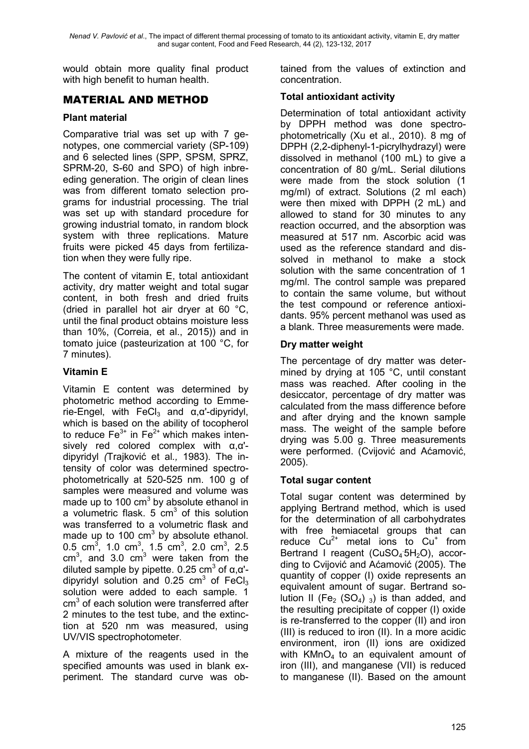would obtain more quality final product with high benefit to human health.

## MATERIAL AND METHOD

#### **Plant material**

Comparative trial was set up with 7 genotypes, one commercial variety (SP-109) and 6 selected lines (SPP, SPSM, SPRZ, SPRM-20, S-60 and SPO) of high inbreeding generation. The origin of clean lines was from different tomato selection programs for industrial processing. The trial was set up with standard procedure for growing industrial tomato, in random block system with three replications. Mature fruits were picked 45 days from fertilization when they were fully ripe.

The content of vitamin E, total antioxidant activity, dry matter weight and total sugar content, in both fresh and dried fruits (dried in parallel hot air dryer at 60 °C, until the final product obtains moisture less than 10%, (Correia, et al., 2015)) and in tomato juice (pasteurization at 100 °C, for 7 minutes).

### **Vitamin E**

Vitamin E content was determined by photometric method according to Emmerie-Engel, with FeCl<sub>3</sub> and  $\alpha$ ,  $\alpha$ '-dipyridyl, which is based on the ability of tocopherol to reduce  $Fe<sup>3+</sup>$  in  $Fe<sup>2+</sup>$  which makes intensively red colored complex with α,α' dipyridyl *(*Trajković et al*.,* 1983). The intensity of color was determined spectrophotometrically at 520-525 nm. 100 g of samples were measured and volume was made up to 100  $\text{cm}^3$  by absolute ethanol in a volumetric flask.  $5 \text{ cm}^3$  of this solution was transferred to a volumetric flask and made up to 100  $\text{cm}^3$  by absolute ethanol. 0.5 cm<sup>3</sup>, 1.0 cm<sup>3</sup>, 1.5 cm<sup>3</sup>, 2.0 cm<sup>3</sup>, 2.5  $cm<sup>3</sup>$ , and 3.0  $cm<sup>3</sup>$  were taken from the diluted sample by pipette. 0.25 cm<sup>3</sup> of α,α'dipyridyl solution and  $0.25 \text{ cm}^3$  of FeCl<sub>3</sub> solution were added to each sample. 1  $cm<sup>3</sup>$  of each solution were transferred after 2 minutes to the test tube, and the extinction at 520 nm was measured, using UV/VIS spectrophotometer.

A mixture of the reagents used in the specified amounts was used in blank experiment. The standard curve was obtained from the values of extinction and concentration.

#### **Total antioxidant activity**

Determination of total antioxidant activity by DPPH method was done spectrophotometrically (Xu et al., 2010). 8 mg of DPPH (2,2-diphenyl-1-picrylhydrazyl) were dissolved in methanol (100 mL) to give a concentration of 80 g/mL. Serial dilutions were made from the stock solution (1 mg/ml) of extract. Solutions (2 ml each) were then mixed with DPPH (2 mL) and allowed to stand for 30 minutes to any reaction occurred, and the absorption was measured at 517 nm. Ascorbic acid was used as the reference standard and dissolved in methanol to make a stock solution with the same concentration of 1 mg/ml. The control sample was prepared to contain the same volume, but without the test compound or reference antioxidants. 95% percent methanol was used as a blank. Three measurements were made.

#### **Dry matter weight**

The percentage of dry matter was determined by drying at 105 °C, until constant mass was reached. After cooling in the desiccator, percentage of dry matter was calculated from the mass difference before and after drying and the known sample mass. The weight of the sample before drying was 5.00 g. Three measurements were performed. (Cvijović and Aćamović, 2005).

### **Total sugar content**

Total sugar content was determined by applying Bertrand method, which is used for the determination of all carbohydrates with free hemiacetal groups that can reduce  $Cu^{2+}$  metal ions to  $Cu^{+}$  from Bertrand I reagent (CuSO<sub>4</sub><sup>5H<sub>2</sub>O), accor-</sup> ding to Cvijović and Aćamović (2005). The quantity of copper (I) oxide represents an equivalent amount of sugar. Bertrand solution II (Fe<sub>2</sub> (SO<sub>4</sub>) <sub>3</sub>) is than added, and the resulting precipitate of copper (I) oxide is re-transferred to the copper (II) and iron (III) is reduced to iron (II). In a more acidic environment, iron (II) ions are oxidized with  $KMnO<sub>4</sub>$  to an equivalent amount of iron (III), and manganese (VII) is reduced to manganese (II). Based on the amount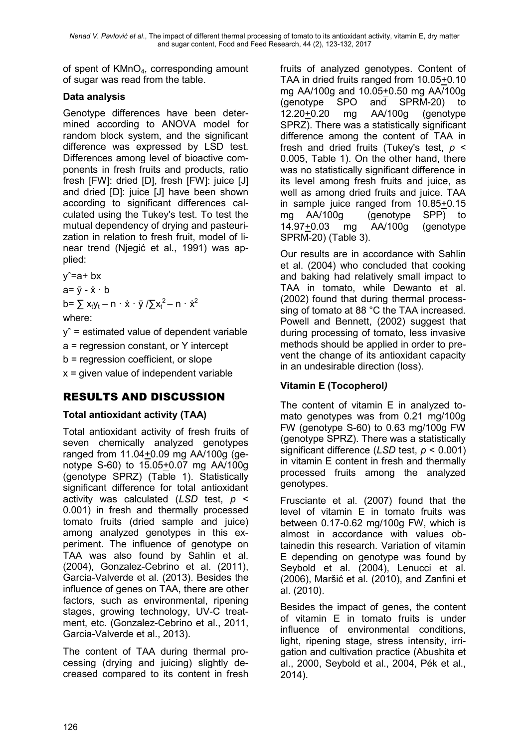of spent of KMnO4, corresponding amount of sugar was read from the table.

# **Data analysis**

Genotype differences have been determined according to ANOVA model for random block system, and the significant difference was expressed by LSD test. Differences among level of bioactive components in fresh fruits and products, ratio fresh [FW]: dried [D], fresh [FW]: juice [J] and dried [D]: juice [J] have been shown according to significant differences calculated using the Tukey's test. To test the mutual dependency of drying and pasteurization in relation to fresh fruit, model of linear trend (Njegić et al., 1991) was applied:

 $y^2 = a + bx$  $a = \overline{v} - \dot{x} \cdot b$ 

b=  $\sum x_t y_t - n \cdot \dot{x} \cdot \ddot{y} / \sum x_t^2 - n \cdot \dot{x}^2$ 

where:

 $v<sup>2</sup>$  = estimated value of dependent variable a = regression constant, or Y intercept b = regression coefficient, or slope  $x =$  given value of independent variable

# RESULTS AND DISCUSSION

# **Total antioxidant activity (TAA)**

Total antioxidant activity of fresh fruits of seven chemically analyzed genotypes ranged from 11.04+0.09 mg AA/100g (genotype S-60) to 15.05+0.07 mg AA/100g (genotype SPRZ) (Table 1). Statistically significant difference for total antioxidant activity was calculated (*LSD* test, *p* < 0.001) in fresh and thermally processed tomato fruits (dried sample and juice) among analyzed genotypes in this experiment. The influence of genotype on TAA was also found by Sahlin et al. (2004), Gonzalez-Cebrino et al. (2011), Garcia-Valverde et al. (2013). Besides the influence of genes on TAA, there are other factors, such as environmental, ripening stages, growing technology, UV-C treatment, etc. (Gonzalez-Cebrino et al., 2011, Garcia-Valverde et al., 2013).

The content of TAA during thermal processing (drying and juicing) slightly decreased compared to its content in fresh

fruits of analyzed genotypes. Content of TAA in dried fruits ranged from 10.05+0.10 mg AA/100g and 10.05+0.50 mg AA/100g (genotype SPO and SPRM-20) to 12.20+0.20 mg AA/100g (genotype SPRZ). There was a statistically significant difference among the content of TAA in fresh and dried fruits (Tukey's test, *p* < 0.005, Table 1). On the other hand, there was no statistically significant difference in its level among fresh fruits and juice, as well as among dried fruits and juice. TAA in sample juice ranged from 10.85+0.15 mg AA/100g (genotype SPP) to 14.97+0.03 mg AA/100g (genotype SPRM-20) (Table 3).

Our results are in accordance with Sahlin et al. (2004) who concluded that cooking and baking had relatively small impact to TAA in tomato, while Dewanto et al. (2002) found that during thermal processsing of tomato at 88 °C the TAA increased. Powell and Bennett, (2002) suggest that during processing of tomato, less invasive methods should be applied in order to prevent the change of its antioxidant capacity in an undesirable direction (loss).

# **Vitamin E (Tocopherol***)*

The content of vitamin E in analyzed tomato genotypes was from 0.21 mg/100g FW (genotype S-60) to 0.63 mg/100g FW (genotype SPRZ). There was a statistically significant difference (*LSD* test, *p* < 0.001) in vitamin E content in fresh and thermally processed fruits among the analyzed genotypes.

Frusciante et al. (2007) found that the level of vitamin E in tomato fruits was between 0.17-0.62 mg/100g FW, which is almost in accordance with values obtainedin this research. Variation of vitamin E depending on genotype was found by Seybold et al. (2004), Lenucci et al. (2006), Maršić et al. (2010), and Zanfini et al. (2010).

Besides the impact of genes, the content of vitamin E in tomato fruits is under influence of environmental conditions, light, ripening stage, stress intensity, irrigation and cultivation practice (Abushita et al., 2000, Seybold et al., 2004, Pék et al., 2014).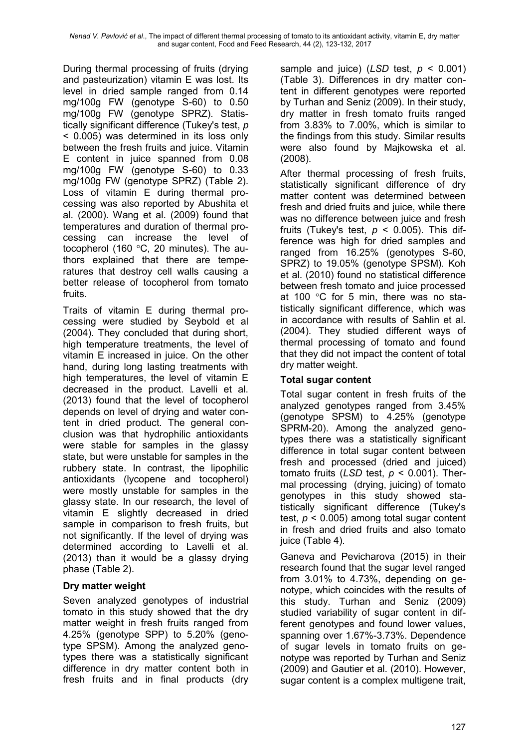During thermal processing of fruits (drying and pasteurization) vitamin E was lost. Its level in dried sample ranged from 0.14 mg/100g FW (genotype S-60) to 0.50 mg/100g FW (genotype SPRZ). Statistically significant difference (Tukey's test, *p*  < 0.005) was determined in its loss only between the fresh fruits and juice. Vitamin E content in juice spanned from 0.08 mg/100g FW (genotype S-60) to 0.33 mg/100g FW (genotype SPRZ) (Table 2). Loss of vitamin E during thermal processing was also reported by Abushita et al. (2000). Wang et al. (2009) found that temperatures and duration of thermal processing can increase the level of tocopherol (160 °C, 20 minutes). The authors explained that there are temperatures that destroy cell walls causing a better release of tocopherol from tomato fruits.

Traits of vitamin E during thermal processing were studied by Seybold et al (2004). They concluded that during short, high temperature treatments, the level of vitamin E increased in juice. On the other hand, during long lasting treatments with high temperatures, the level of vitamin E decreased in the product. Lavelli et al. (2013) found that the level of tocopherol depends on level of drying and water content in dried product. The general conclusion was that hydrophilic antioxidants were stable for samples in the glassy state, but were unstable for samples in the rubbery state. In contrast, the lipophilic antioxidants (lycopene and tocopherol) were mostly unstable for samples in the glassy state. In our research, the level of vitamin E slightly decreased in dried sample in comparison to fresh fruits, but not significantly. If the level of drying was determined according to Lavelli et al. (2013) than it would be a glassy drying phase (Table 2).

### **Dry matter weight**

Seven analyzed genotypes of industrial tomato in this study showed that the dry matter weight in fresh fruits ranged from 4.25% (genotype SPP) to 5.20% (genotype SPSM). Among the analyzed genotypes there was a statistically significant difference in dry matter content both in fresh fruits and in final products (dry

sample and juice) (*LSD* test,  $p < 0.001$ ) (Table 3). Differences in dry matter content in different genotypes were reported by Turhan and Seniz (2009). In their study, dry matter in fresh tomato fruits ranged from 3.83% to 7.00%, which is similar to the findings from this study. Similar results were also found by Majkowska et al. (2008).

After thermal processing of fresh fruits, statistically significant difference of dry matter content was determined between fresh and dried fruits and juice, while there was no difference between juice and fresh fruits (Tukey's test,  $p < 0.005$ ). This difference was high for dried samples and ranged from 16.25% (genotypes S-60, SPRZ) to 19.05% (genotype SPSM). Koh et al. (2010) found no statistical difference between fresh tomato and juice processed at 100 °C for 5 min, there was no statistically significant difference, which was in accordance with results of Sahlin et al. (2004). They studied different ways of thermal processing of tomato and found that they did not impact the content of total dry matter weight.

### **Total sugar content**

Total sugar content in fresh fruits of the analyzed genotypes ranged from 3.45% (genotype SPSM) to 4.25% (genotype SPRM-20). Among the analyzed genotypes there was a statistically significant difference in total sugar content between fresh and processed (dried and juiced) tomato fruits (*LSD* test, *p* < 0.001). Thermal processing (drying, juicing) of tomato genotypes in this study showed statistically significant difference (Tukey's test, *p* < 0.005) among total sugar content in fresh and dried fruits and also tomato juice (Table 4).

Ganeva and Pevicharova (2015) in their research found that the sugar level ranged from 3.01% to 4.73%, depending on genotype, which coincides with the results of this study. Turhan and Seniz (2009) studied variability of sugar content in different genotypes and found lower values, spanning over 1.67%-3.73%. Dependence of sugar levels in tomato fruits on genotype was reported by Turhan and Seniz (2009) and Gautier et al. (2010). However, sugar content is a complex multigene trait,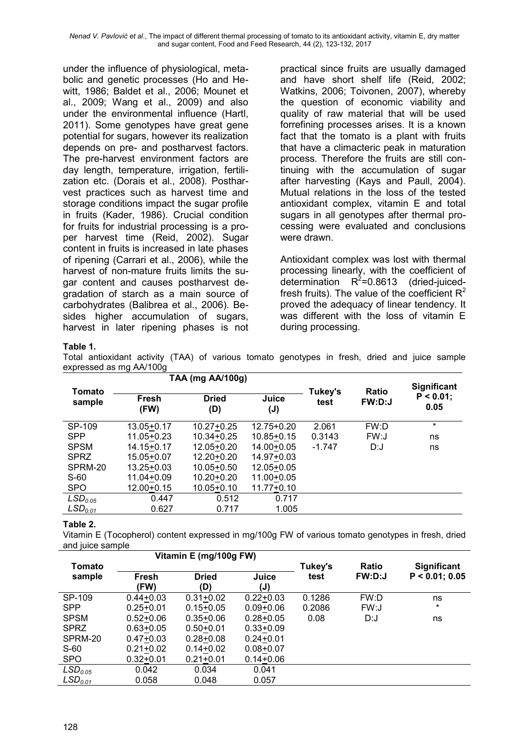*Nenad V. Pavlović et al*., The impact of different thermal processing of tomato to its antioxidant activity, vitamin E, dry matter and sugar content, Food and Feed Research, 44 (2), 123-132, 2017

under the influence of physiological, metabolic and genetic processes (Ho and Hewitt, 1986; Baldet et al., 2006; Mounet et al., 2009; Wang et al., 2009) and also under the environmental influence (Hartl, 2011). Some genotypes have great gene potential for sugars, however its realization depends on pre- and postharvest factors. The pre-harvest environment factors are day length, temperature, irrigation, fertilization etc. (Dorais et al., 2008). Postharvest practices such as harvest time and storage conditions impact the sugar profile in fruits (Kader, 1986). Crucial condition for fruits for industrial processing is a proper harvest time (Reid, 2002). Sugar content in fruits is increased in late phases of ripening (Carrari et al., 2006), while the harvest of non-mature fruits limits the sugar content and causes postharvest degradation of starch as a main source of carbohydrates (Balibrea et al., 2006). Besides higher accumulation of sugars, harvest in later ripening phases is not practical since fruits are usually damaged and have short shelf life (Reid, 2002; Watkins, 2006; Toivonen, 2007), whereby the question of economic viability and quality of raw material that will be used forrefining processes arises. It is a known fact that the tomato is a plant with fruits that have a climacteric peak in maturation process. Therefore the fruits are still continuing with the accumulation of sugar after harvesting (Kays and Paull, 2004). Mutual relations in the loss of the tested antioxidant complex, vitamin E and total sugars in all genotypes after thermal processing were evaluated and conclusions were drawn.

Antioxidant complex was lost with thermal processing linearly, with the coefficient of determination  $R^2 = 0.8613$  (dried-juicedfresh fruits). The value of the coefficient  $R^2$ proved the adequacy of linear tendency. It was different with the loss of vitamin E during processing.

#### **Table 1.**

Total antioxidant activity (TAA) of various tomato genotypes in fresh, dried and juice sample expressed as mg AA/100g

|                     |                | TAA (mg AA/100g)    |                |                 |                        |                                            |
|---------------------|----------------|---------------------|----------------|-----------------|------------------------|--------------------------------------------|
| Tomato<br>sample    | Fresh<br>(FW)  | <b>Dried</b><br>(D) | Juice<br>(J)   | Tukey's<br>test | <b>Ratio</b><br>FW:D:J | <b>Significant</b><br>$P < 0.01$ ;<br>0.05 |
| SP-109              | $13.05 + 0.17$ | $10.27 + 0.25$      | $12.75 + 0.20$ | 2.061           | FW:D                   | $\star$                                    |
| <b>SPP</b>          | 11.05+0.23     | $10.34 + 0.25$      | $10.85 + 0.15$ | 0.3143          | FW:J                   | ns                                         |
| <b>SPSM</b>         | $14.15 + 0.17$ | 12.05+0.20          | 14.00+0.05     | $-1.747$        | D:J                    | ns                                         |
| <b>SPRZ</b>         | 15.05+0.07     | $12.20 + 0.20$      | 14.97+0.03     |                 |                        |                                            |
| SPRM-20             | $13.25 + 0.03$ | $10.05 + 0.50$      | $12.05 + 0.05$ |                 |                        |                                            |
| $S-60$              | 11.04+0.09     | $10.20 + 0.20$      | 11.00+0.05     |                 |                        |                                            |
| <b>SPO</b>          | 12.00+0.15     | $10.05 + 0.10$      | $11.77 + 0.10$ |                 |                        |                                            |
| LSD <sub>0.05</sub> | 0.447          | 0.512               | 0.717          |                 |                        |                                            |
| LSD <sub>0.01</sub> | 0.627          | 0.717               | 1.005          |                 |                        |                                            |

#### **Table 2.**

Vitamin E (Tocopherol) content expressed in mg/100g FW of various tomato genotypes in fresh, dried and juice sample

| Vitamin E (mg/100g FW) |               |               |               |         |               |                    |
|------------------------|---------------|---------------|---------------|---------|---------------|--------------------|
| Tomato                 |               |               |               | Tukey's | <b>Ratio</b>  | <b>Significant</b> |
| sample                 | Fresh         | <b>Dried</b>  | Juice         | test    | <b>FW:D:J</b> | $P < 0.01$ ; 0.05  |
|                        | (FW)          | (D)           | (J)           |         |               |                    |
| SP-109                 | $0.44 + 0.03$ | $0.31 + 0.02$ | $0.22 + 0.03$ | 0.1286  | FW:D          | ns                 |
| <b>SPP</b>             | $0.25 + 0.01$ | $0.15 + 0.05$ | $0.09 + 0.06$ | 0.2086  | FW:J          | $\star$            |
| <b>SPSM</b>            | $0.52 + 0.06$ | $0.35 + 0.06$ | $0.28 + 0.05$ | 0.08    | D:J           | ns                 |
| <b>SPRZ</b>            | $0.63 + 0.05$ | $0.50 + 0.01$ | $0.33 + 0.09$ |         |               |                    |
| SPRM-20                | $0.47 + 0.03$ | $0.28 + 0.08$ | $0.24 + 0.01$ |         |               |                    |
| $S-60$                 | $0.21 + 0.02$ | $0.14 + 0.02$ | $0.08 + 0.07$ |         |               |                    |
| <b>SPO</b>             | $0.32 + 0.01$ | $0.21 + 0.01$ | $0.14 + 0.06$ |         |               |                    |
| LSD <sub>0.05</sub>    | 0.042         | 0.034         | 0.041         |         |               |                    |
| LSD <sub>0.01</sub>    | 0.058         | 0.048         | 0.057         |         |               |                    |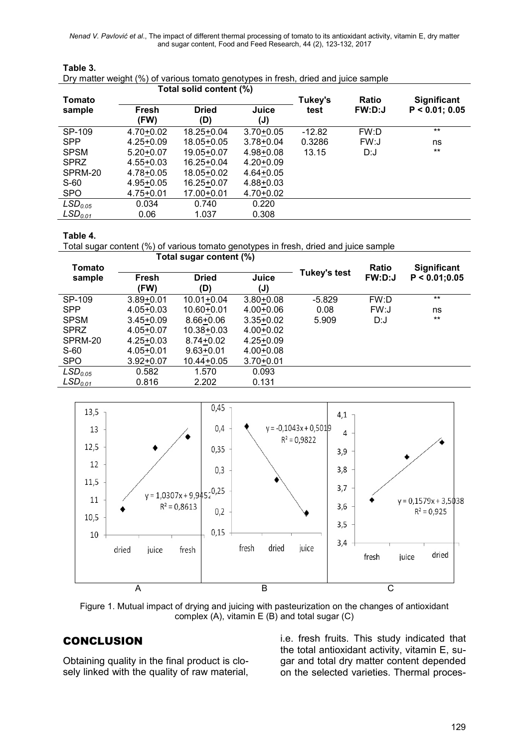*Nenad V. Pavlović et al*., The impact of different thermal processing of tomato to its antioxidant activity, vitamin E, dry matter and sugar content, Food and Feed Research, 44 (2), 123-132, 2017

| Total solid content (%) |               |                |                |          |               |                    |
|-------------------------|---------------|----------------|----------------|----------|---------------|--------------------|
| Tomato                  |               |                |                | Tukey's  | <b>Ratio</b>  | <b>Significant</b> |
| sample                  | Fresh         | <b>Dried</b>   | Juice          | test     | <b>FW:D:J</b> | $P < 0.01$ ; 0.05  |
|                         | (FW)          | (D)            | $(\mathsf{J})$ |          |               |                    |
| SP-109                  | $4.70 + 0.02$ | $18.25 + 0.04$ | $3.70 + 0.05$  | $-12.82$ | FW:D          | $***$              |
| <b>SPP</b>              | $4.25 + 0.09$ | 18.05+0.05     | $3.78 + 0.04$  | 0.3286   | FW:J          | ns                 |
| <b>SPSM</b>             | $5.20 + 0.07$ | 19.05+0.07     | $4.98 + 0.08$  | 13.15    | D:J           | $***$              |
| <b>SPRZ</b>             | $4.55 + 0.03$ | $16.25 + 0.04$ | $4.20 + 0.09$  |          |               |                    |
| SPRM-20                 | $4.78 + 0.05$ | 18.05+0.02     | $4.64 + 0.05$  |          |               |                    |
| $S-60$                  | $4.95 + 0.05$ | $16.25 + 0.07$ | $4.88 + 0.03$  |          |               |                    |
| <b>SPO</b>              | $4.75 + 0.01$ | $17.00 + 0.01$ | $4.70 + 0.02$  |          |               |                    |
| LSD <sub>0.05</sub>     | 0.034         | 0.740          | 0.220          |          |               |                    |
| LSD <sub>0.01</sub>     | 0.06          | 1.037          | 0.308          |          |               |                    |

#### **Table 3.**  Dry matter weight (%) of various tomato genotypes in fresh, dried and juice sample

#### **Table 4.**

Total sugar content (%) of various tomato genotypes in fresh, dried and juice sample

|                       | Total sugar content (%) |                |                |                     |               |                    |
|-----------------------|-------------------------|----------------|----------------|---------------------|---------------|--------------------|
| Tomato                |                         |                |                |                     | Ratio         | <b>Significant</b> |
| sample                | Fresh                   | <b>Dried</b>   | Juice          | <b>Tukey's test</b> | <b>FW:D:J</b> | P < 0.01; 0.05     |
|                       | (FW)                    | (D)            | $(\mathsf{J})$ |                     |               |                    |
| SP-109                | $3.89 + 0.01$           | $10.01 + 0.04$ | $3.80 + 0.08$  | $-5.829$            | FW:D          | $***$              |
| <b>SPP</b>            | $4.05 + 0.03$           | $10.60 + 0.01$ | $4.00 + 0.06$  | 0.08                | FW:J          | ns                 |
| <b>SPSM</b>           | $3.45 + 0.09$           | $8.66 + 0.06$  | $3.35 + 0.02$  | 5.909               | D:J           | $***$              |
| <b>SPRZ</b>           | $4.05 + 0.07$           | $10.38 + 0.03$ | $4.00 + 0.02$  |                     |               |                    |
| SPRM-20               | $4.25 + 0.03$           | $8.74 + 0.02$  | $4.25 + 0.09$  |                     |               |                    |
| $S-60$                | $4.05 + 0.01$           | $9.63 + 0.01$  | $4.00 + 0.08$  |                     |               |                    |
| <b>SPO</b>            | $3.92 + 0.07$           | $10.44 + 0.05$ | $3.70 + 0.01$  |                     |               |                    |
| LSD <sub>0.05</sub>   | 0.582                   | 1.570          | 0.093          |                     |               |                    |
| $\mathsf{LSD}_{0.01}$ | 0.816                   | 2.202          | 0.131          |                     |               |                    |



Figure 1. Mutual impact of drying and juicing with pasteurization on the changes of antioxidant complex (A), vitamin E (B) and total sugar (C)

### **CONCLUSION**

Obtaining quality in the final product is closely linked with the quality of raw material, i.e. fresh fruits. This study indicated that the total antioxidant activity, vitamin E, sugar and total dry matter content depended on the selected varieties. Thermal proces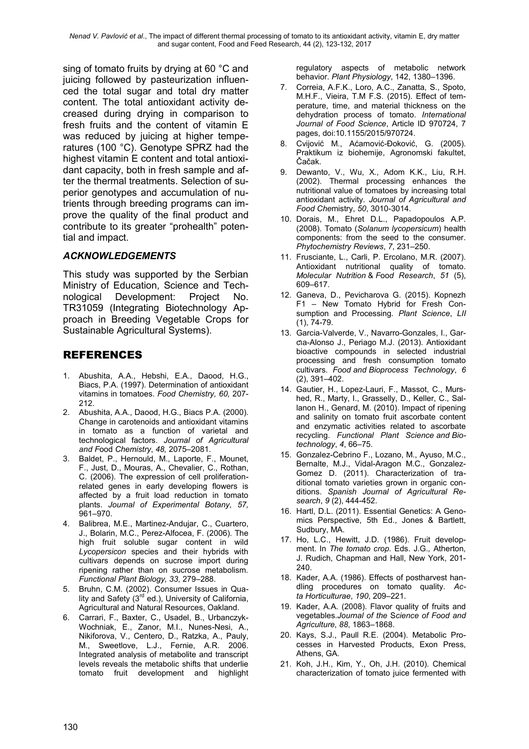*Nenad V. Pavlović et al*., The impact of different thermal processing of tomato to its antioxidant activity, vitamin E, dry matter and sugar content, Food and Feed Research, 44 (2), 123-132, 2017

sing of tomato fruits by drying at 60 °C and juicing followed by pasteurization influenced the total sugar and total dry matter content. The total antioxidant activity decreased during drying in comparison to fresh fruits and the content of vitamin E was reduced by juicing at higher temperatures (100 °C). Genotype SPRZ had the highest vitamin E content and total antioxidant capacity, both in fresh sample and after the thermal treatments. Selection of superior genotypes and accumulation of nutrients through breeding programs can improve the quality of the final product and contribute to its greater "prohealth" potential and impact.

#### *ACKNOWLEDGEMENTS*

This study was supported by the Serbian Ministry of Education, Science and Technological Development: Project No. TR31059 (Integrating Biotechnology Approach in Breeding Vegetable Crops for Sustainable Agricultural Systems).

### REFERENCES

- 1. Abushita, A.A., Hebshi, E.A., Daood, H.G., Biacs, P.A. (1997). Determination of antioxidant vitamins in tomatoes. *Food Chemistry, 60,* 207- 212.
- 2. Abushita, A.A., Daood, H.G., Biacs P.A. (2000). Change in carotenoids and antioxidant vitamins in tomato as a function of varietal and technological factors. *Journal of Аgricultural and F*ood *Chemistry*, *48,* 2075–2081.
- 3. Baldet, P., Hernould, M., Laporte, F., Mounet, F., Just, D., Mouras, A., Chevalier, C., Rothan, C. (2006). The expression of cell proliferationrelated genes in early developing flowers is affected by a fruit load reduction in tomato plants. *Journal of Experimental Botany, 57,* 961–970.
- 4. Balibrea, M.E., Martinez-Andujar, C., Cuartero, J., Bolarin, M.C., Perez-Alfocea, F. (2006). The high fruit soluble sugar content in wild *Lycopersicon* species and their hybrids with cultivars depends on sucrose import during ripening rather than on sucrose metabolism. *Functional Plant Biology, 33,* 279–288.
- 5. Bruhn, C.M. (2002). Consumer Issues in Quality and Safety  $(3<sup>rd</sup>$  ed.), University of California, Agricultural and Natural Resources, Oakland.
- 6. Carrari, F., Baxter, C., Usadel, B., Urbanczyk-Wochniak, E., Zanor, M.I., Nunes-Nesi, A., Nikiforova, V., Centero, D., Ratzka, A., Pauly, M., Sweetlove, L.J., Fernie, A.R. 2006. Integrated analysis of metabolite and transcript levels reveals the metabolic shifts that underlie tomato fruit development and highlight

regulatory aspects of metabolic network behavior. *Plant Physiology*, 142, 1380–1396.

- 7. Correia, A.F.K., Loro, A.C., Zanatta, S., Spoto, M.H.F., Vieira, T.M F.S. (2015). Effect of temperature, time, and material thickness on the dehydration process of tomato. *International Journal of Food Science*, Article ID 970724, 7 pages, doi:10.1155/2015/970724.
- 8. Cvijović M., Aćamović-Đoković, G. (2005). Praktikum iz biohemije, Agronomski fakultet, Čačak.
- 9. Dewanto, V., Wu, X., Adom K.K., Liu, R.H. (2002). Thermal processing enhances the nutritional value of tomatoes by increasing total antioxidant activity. *Journal of Agricultural and Food Che*mistry, *50*, 3010-3014.
- 10. Dorais, M., Ehret D.L., Papadopoulos A.P. (2008). Tomato (*Solanum lycopersicum*) health components: from the seed to the consumer. *Phytochemistry Reviews*, *7*, 231–250.
- 11. Frusciante, L., Carli, P. Ercolano, M.R. (2007). Antioxidant nutritional quality of tomato. *Molecular Nutrition* & *F*oo*d Research*, *51* (5), 609–617.
- 12. Ganeva, D., Pevicharova G. (2015). Kopnezh F1 *–* New Tomato Hybrid for Fresh Consumption and Processing. *Plant Science*, *LII* (1), 74-79.
- 13. Garcia-Valverde, V., Navarro-Gonzales, I., Garƈıa-Alonso J., Periago M.J. (2013). Antioxidant bioactive compounds in selected industrial processing and fresh consumption tomato cultivars. *Food and Bioprocess Technology*, *6* (2), 391–402.
- 14. Gautier, H., Lopez-Lauri, F., Massot, C., Murshed, R., Marty, I., Grasselly, D., Keller, C., Sallanon H., Genard, M. (2010). Impact of ripening and salinity on tomato fruit ascorbate content and enzymatic activities related to ascorbate recycling. *Functional Plant Science and Biotechnology*, *4*, 66–75.
- 15. Gonzalez-Cebrino F., Lozano, M., Ayuso, M.C., Bernalte, M.J., Vidal-Aragon M.C., Gonzalez-Gomez D. (2011). Characterization of traditional tomato varieties grown in organic conditions. *Spanish Journal of Agricultural Research*, *9* (2), 444-452.
- 16. Hartl, D.L. (2011). Essential Genetics: A Genomics Perspective, 5th Ed., Jones & Bartlett, Sudbury, MA.
- 17. Ho, L.C., Hewitt, J.D. (1986). Fruit development. In *The tomato crop.* Eds. J.G.*,* Atherton*,*  J. Rudich, Chapman and Hall, New York, 201- 240.
- 18. Kader, A.A. (1986). Effects of postharvest handling procedures on tomato quality. *Acta Horticulturae*, *190*, 209–221.
- 19. Kader, A.A. (2008). Flavor quality of fruits and vegetables.*Journal of the* S*cience of Food and Agriculture*, *88*, 1863–1868.
- 20. Kays, S.J., Paull R.E. (2004). Metabolic Processes in Harvested Products, Exon Press, Athens, GA.
- 21. Koh, J.H., Kim, Y., Oh, J.H. (2010). Chemical characterization of tomato juice fermented with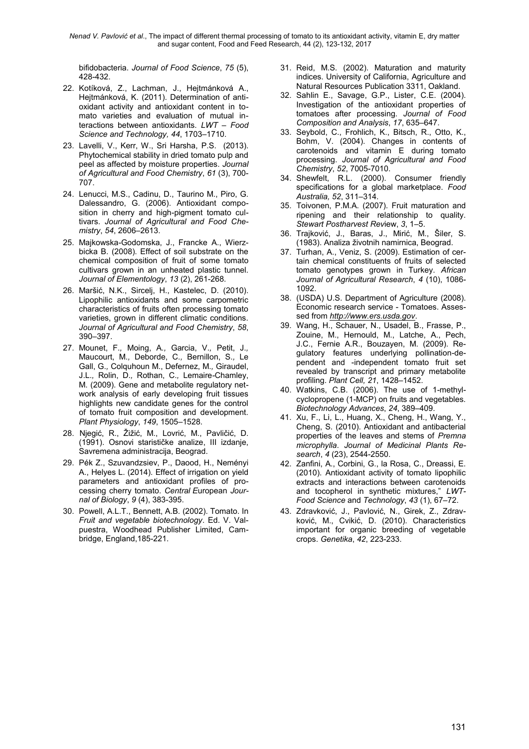bifidobacteria. *Journal of Food Science*, *75* (5), 428-432.

- 22. Kotíková, Z., Lachman, J., Hejtmánková A., Hejtmánková, K. (2011). Determination of antioxidant activity and antioxidant content in tomato varieties and evaluation of mutual interactions between antioxidants. *LWT – Food Science and Technology, 44*, 1703–1710.
- 23. Lavelli, V., Kerr, W., Sri Harsha, P.S. (2013). Phytochemical stability in dried tomato pulp and peel as affected by moisture properties. *Journal of Agricultural and Food Chemistry*, *61* (3), 700- 707.
- 24. Lenucci, M.S., Cadinu, D., Taurino M., Piro, G. Dalessandro, G. (2006). Antioxidant composition in cherry and high-pigment tomato cultivars. *Journal of Agricultural and Food Chemistry*, *54*, 2606–2613.
- 25. Majkowska-Godomska, J., Francke A., Wierzbicka B. (2008). Effect of soil substrate on the chemical composition of fruit of some tomato cultivars grown in an unheated plastic tunnel. *Journal of Elementology*, *13* (2), 261-268.
- 26. Maršić, N.K., Sircelj, H., Kastelec, D. (2010). Lipophilic antioxidants and some carpometric characteristics of fruits often processing tomato varieties, grown in different climatic conditions. *Journal of Agricultural and Food Chemistry*, *58*, 390–397.
- 27. Mounet, F.*,* Moing, A*.,* Garcia, V.*,* Petit, J.*,*  Maucourt, M.*,* Deborde, C.*,* Bernillon, S.*,* Le Gall, G.*,* Colquhoun M., Defernez, M.*,* Giraudel, J.L.*,* Rolin, D.*,* Rothan, C.*,* Lemaire*-*Chamley, M. (2009). Gene and metabolite regulatory network analysis of early developing fruit tissues highlights new candidate genes for the control of tomato fruit composition and development. *Plant Physiology*, *149*, 1505–1528.
- 28. Njegić, R., Žižić, M., Lovrić, M., Pavličić, D. (1991). Osnovi starističke analize, III izdanje, Savremena administracija, Beograd.
- 29. Pék Z., Szuvandzsiev, P., Daood, H., Neményi A., Helyes L. (2014). Effect of irrigation on yield parameters and antioxidant profiles of processing cherry tomato. *Central E*uropean *Journal of Biology*, *9* (4), 383-395.
- 30. Powell, A.L.T., Bennett, A.B. (2002). Tomato. In *Fruit and vegetable biotechnology*. Ed. V. Valpuestra, Woodhead Publisher Limited, Cambridge, England,185-221.
- 31. Reid, M.S. (2002). Maturation and maturity indices. University of California, Agriculture and Natural Resources Publication 3311, Oakland.
- 32. Sahlin E., Savage, G.P., Lister, C.E. (2004). Investigation of the antioxidant properties of tomatoes after processing. *Journal of Food Composition and Analysis*, *17*, 635–647.
- 33. Seybold, C., Frohlich, K., Bitsch, R., Otto, K., Bohm, V. (2004). Changes in contents of carotenoids and vitamin E during tomato processing. *Journal of Agricultural and Food Chemistry*, *52*, 7005-7010.
- 34. Shewfelt, R.L. (2000). Consumer friendly specifications for a global marketplace. *Food Australia, 52*, 311–314.
- 35. Toivonen, P.M.A. (2007). Fruit maturation and ripening and their relationship to quality. *Stewart Postharvest Rev*iew, *3*, 1–5.
- 36. Trajković, J., Baras, J., Mirić, M., Šiler, S. (1983). Analiza životnih namirnica, Beograd.
- 37. Turhan, A., Veniz, S. (2009). Estimation of certain chemical constituents of fruits of selected tomato genotypes grown in Turkey. *African Journal of Agricultural Research*, *4* (10), 1086- 1092.
- 38. (USDA) U.S. Department of Agriculture (2008). Economic research service - Tomatoes. Assessed from *http://www.ers.usda.gov*.
- 39. Wang, H., Schauer, N., Usadel, B., Frasse, P., Zouine, M., Hernould, M., Latche, A., Pech, J.C., Fernie A.R., Bouzayen, M. (2009). Regulatory features underlying pollination-dependent and -independent tomato fruit set revealed by transcript and primary metabolite profiling. *Plant Cell, 21*, 1428–1452.
- 40. Watkins, C.B. (2006). The use of 1-methylcyclopropene (1-MCP) on fruits and vegetables. *Biotechnology Advances*, *24*, 389–409.
- 41. Xu, F., Li, L., Huang, X., Cheng, H., Wang, Y., Cheng, S. (2010). Antioxidant and antibacterial properties of the leaves and stems of *Premna microphylla*. *Journal of Medicinal Plants Research*, *4* (23), 2544-2550.
- 42. Zanfini, A., Corbini, G., la Rosa, C., Dreassi, E. (2010). Antioxidant activity of tomato lipophilic extracts and interactions between carotenoids and tocopherol in synthetic mixtures," *LWT-Food Science* and *Technology*, *43* (1), 67–72.
- 43. Zdravković, J., Pavlović, N., Girek, Z., Zdravković, M., Cvikić, D. (2010). Characteristics important for organic breeding of vegetable crops. *Genetika*, *42*, 223-233.